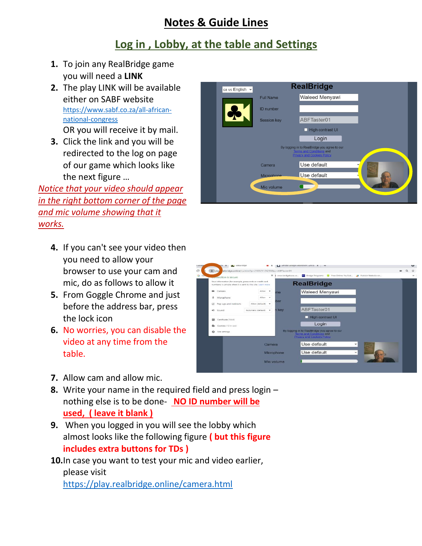# **Notes & Guide Lines**

# **Log in , Lobby, at the table and Settings**

- **1.** To join any RealBridge game you will need a **LINK**
- **2.** The play LINK will be available either on SABF website [https://www.sabf.co.za/all-african](https://www.sabf.co.za/all-african-national-congress)[national-congress](https://www.sabf.co.za/all-african-national-congress)

OR you will receive it by mail.

**3.** Click the link and you will be redirected to the log on page of our game which looks like the next figure …

*Notice that your video should appear in the right bottom corner of the page and mic volume showing that it works.*

- **4.** If you can't see your video then you need to allow your browser to use your cam and mic, do as follows to allow it
- **5.** From Goggle Chrome and just before the address bar, press the lock icon
- **6.** No worries, you can disable the video at any time from the table.
- **7.** Allow cam and allow mic.
- **8.** Write your name in the required field and press login nothing else is to be done- **NO ID number will be used, ( leave it blank )**
- **9.** When you logged in you will see the lobby which almost looks like the following figure **( but this figure includes extra buttons for TDs )**
- **10.**In case you want to test your mic and video earlier, please visit <https://play.realbridge.online/camera.html>



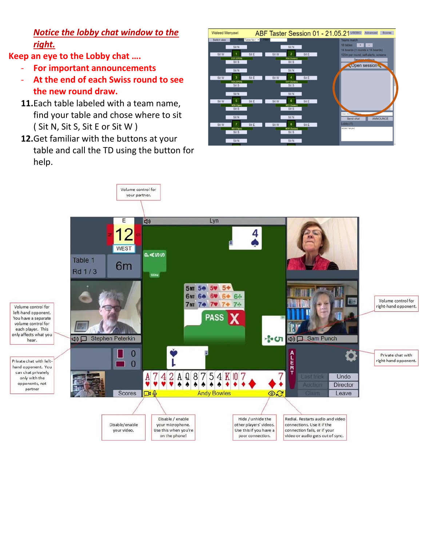*Notice the lobby chat window to the right.*

**Keep an eye to the Lobby chat ….** 

- **For important announcements**
- **At the end of each Swiss round to see the new round draw.**
- **11.**Each table labeled with a team name, find your table and chose where to sit ( Sit N, Sit S, Sit E or Sit W )
- **12.**Get familiar with the buttons at your table and call the TD using the button for help.

| <b>Waleed Menyawi</b>                          |                         |                                                          | ABF Taster Session 01 - 21.05.21 USEBIO<br>Advanced<br>Scores                                |
|------------------------------------------------|-------------------------|----------------------------------------------------------|----------------------------------------------------------------------------------------------|
| Switch view<br>Sor<br>Sit N                    | Table No t v<br>Filter: | Sit N                                                    | <b>Teams match</b><br>18 tables<br>$+$                                                       |
| Sit W<br><b>EGY (OPEN)</b><br>Sit S            | Sit E<br>Sit W          | $\overline{2}$<br>Sit E<br><b>RSA (Seniors)</b><br>Sit S | 14 boards (1 rounds x 14 boards)<br>120m per round, self-alerts, screens<br>Session cottings |
| Sit N                                          |                         | Sit N                                                    | Open session                                                                                 |
| 3<br>Sit W<br>RSA (OPEN)<br>Sit <sub>S</sub>   | Sit E<br>Sit W          | 4<br>Sit E<br><b>EGY</b> (Seniors)<br>Sit S              |                                                                                              |
| Sit N<br>$\sqrt{5}$<br>Sit W                   | Sit E<br>Sit W          | Sit N<br>6<br>Sit E                                      |                                                                                              |
| <b>KEN (Open)</b><br>Sit S                     |                         | <b>REU (Seniors)</b><br>Sit S                            | Enter chat<br><b>Done</b>                                                                    |
| Sit N<br>$\overline{7}$<br>Sit W<br>REU (Open) | Sit E<br>Sit W          | Sit N<br>8<br>Sit E<br><b>MOR (Seniors)</b>              | ANNOUNCE<br>Send chat<br>Lobby (1)<br>Waleed Menyawi                                         |
| Sit S<br>Sit N                                 |                         | Sit S<br>Sit N                                           |                                                                                              |

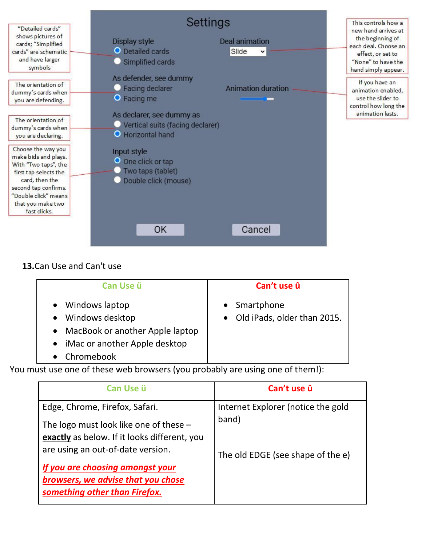

### **13.**Can Use and Can't use

| Can Use ü                         | Can't use û                   |
|-----------------------------------|-------------------------------|
| • Windows laptop                  | • Smartphone                  |
| • Windows desktop                 | • Old iPads, older than 2015. |
| • MacBook or another Apple laptop |                               |
| • iMac or another Apple desktop   |                               |
| Chromebook                        |                               |

You must use one of these web browsers (you probably are using one of them!):

| Can Use ü                                    | Can't use û                                 |
|----------------------------------------------|---------------------------------------------|
| Edge, Chrome, Firefox, Safari.               | Internet Explorer (notice the gold<br>band) |
| The logo must look like one of these $-$     |                                             |
| exactly as below. If it looks different, you |                                             |
| are using an out-of-date version.            | The old EDGE (see shape of the e)           |
| If you are choosing amongst your             |                                             |
| browsers, we advise that you chose           |                                             |
| something other than Firefox.                |                                             |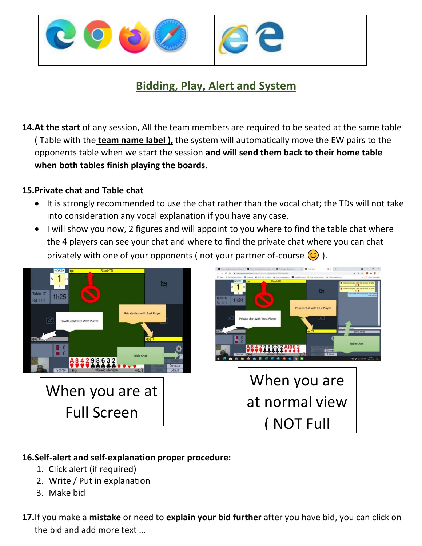

# **Bidding, Play, Alert and System**

**14.At the start** of any session, All the team members are required to be seated at the same table ( Table with the **team name label ),** the system will automatically move the EW pairs to the opponents table when we start the session **and will send them back to their home table when both tables finish playing the boards.**

#### **15.Private chat and Table chat**

- It is strongly recommended to use the chat rather than the vocal chat; the TDs will not take into consideration any vocal explanation if you have any case.
- I will show you now, 2 figures and will appoint to you where to find the table chat where the 4 players can see your chat and where to find the private chat where you can chat privately with one of your opponents (not your partner of-course  $\circled{c}$ ).





#### **16.Self-alert and self-explanation proper procedure:**

- 1. Click alert (if required)
- 2. Write / Put in explanation
- 3. Make bid
- **17.**If you make a **mistake** or need to **explain your bid further** after you have bid, you can click on the bid and add more text …